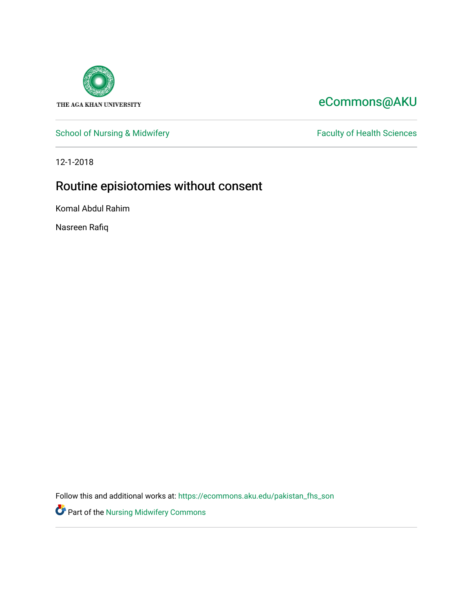

# [eCommons@AKU](https://ecommons.aku.edu/)

[School of Nursing & Midwifery](https://ecommons.aku.edu/pakistan_fhs_son) Faculty of Health Sciences

12-1-2018

# Routine episiotomies without consent

Komal Abdul Rahim

Nasreen Rafiq

Follow this and additional works at: [https://ecommons.aku.edu/pakistan\\_fhs\\_son](https://ecommons.aku.edu/pakistan_fhs_son?utm_source=ecommons.aku.edu%2Fpakistan_fhs_son%2F394&utm_medium=PDF&utm_campaign=PDFCoverPages) 

Part of the [Nursing Midwifery Commons](http://network.bepress.com/hgg/discipline/722?utm_source=ecommons.aku.edu%2Fpakistan_fhs_son%2F394&utm_medium=PDF&utm_campaign=PDFCoverPages)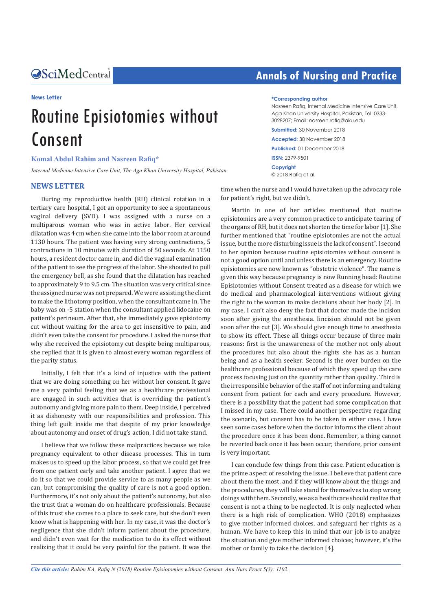Central *Bringing Excellence in Open Access*

#### **News Letter**

# Routine Episiotomies without Consent

### **Komal Abdul Rahim and Nasreen Rafiq\***

*Internal Medicine Intensive Care Unit, The Aga Khan University Hospital, Pakistan* 

### **NEWS LETTER**

During my reproductive health (RH) clinical rotation in a tertiary care hospital, I got an opportunity to see a spontaneous vaginal delivery (SVD). I was assigned with a nurse on a multiparous woman who was in active labor. Her cervical dilatation was 4 cm when she came into the labor room at around 1130 hours. The patient was having very strong contractions, 5 contractions in 10 minutes with duration of 50 seconds. At 1150 hours, a resident doctor came in, and did the vaginal examination of the patient to see the progress of the labor. She shouted to pull the emergency bell, as she found that the dilatation has reached to approximately 9 to 9.5 cm. The situation was very critical since the assigned nurse was not prepared. We were assisting the client to make the lithotomy position, when the consultant came in. The baby was on -5 station when the consultant applied lidocaine on patient's perineum. After that, she immediately gave episiotomy cut without waiting for the area to get insensitive to pain, and didn't even take the consent for procedure. I asked the nurse that why she received the episiotomy cut despite being multiparous, she replied that it is given to almost every woman regardless of the parity status.

Initially, I felt that it's a kind of injustice with the patient that we are doing something on her without her consent. It gave me a very painful feeling that we as a healthcare professional are engaged in such activities that is overriding the patient's autonomy and giving more pain to them. Deep inside, I perceived it as dishonesty with our responsibilities and profession. This thing left guilt inside me that despite of my prior knowledge about autonomy and onset of drug's action, I did not take stand.

I believe that we follow these malpractices because we take pregnancy equivalent to other disease processes. This in turn makes us to speed up the labor process, so that we could get free from one patient early and take another patient. I agree that we do it so that we could provide service to as many people as we can, but compromising the quality of care is not a good option. Furthermore, it's not only about the patient's autonomy, but also the trust that a woman do on healthcare professionals. Because of this trust she comes to a place to seek care, but she don't even know what is happening with her. In my case, it was the doctor's negligence that she didn't inform patient about the procedure, and didn't even wait for the medication to do its effect without realizing that it could be very painful for the patient. It was the

# **Annals of Nursing and Practice**

#### **\*Corresponding author**

Nasreen Rafiq, Internal Medicine Intensive Care Unit, Aga Khan University Hospital, Pakistan, Tel: 0333- 3028207; Email: nasreen.rafiq@aku.edu **Submitted:** 30 November 2018 **Accepted:** 30 November 2018

**Published:** 01 December 2018 **ISSN:** 2379-9501 **Copyright**

© 2018 Rafiq et al.

time when the nurse and I would have taken up the advocacy role for patient's right, but we didn't.

Martin in one of her articles mentioned that routine episiotomies are a very common practice to anticipate tearing of the organs of RH, but it does not shorten the time for labor [1]. She further mentioned that "routine episiotomies are not the actual issue, but the more disturbing issue is the lack of consent". I second to her opinion because routine episiotomies without consent is not a good option until and unless there is an emergency. Routine episiotomies are now known as "obstetric violence". The name is given this way because pregnancy is now Running head: Routine Episiotomies without Consent treated as a disease for which we do medical and pharmacological interventions without giving the right to the woman to make decisions about her body [2]. In my case, I can't also deny the fact that doctor made the incision soon after giving the anesthesia. Iincision should not be given soon after the cut [3]. We should give enough time to anesthesia to show its effect. These all things occur because of three main reasons: first is the unawareness of the mother not only about the procedures but also about the rights she has as a human being and as a health seeker. Second is the over burden on the healthcare professional because of which they speed up the care process focusing just on the quantity rather than quality. Third is the irresponsible behavior of the staff of not informing and taking consent from patient for each and every procedure. However, there is a possibility that the patient had some complication that I missed in my case. There could another perspective regarding the scenario, but consent has to be taken in either case. I have seen some cases before when the doctor informs the client about the procedure once it has been done. Remember, a thing cannot be reverted back once it has been occur; therefore, prior consent is very important.

I can conclude few things from this case. Patient education is the prime aspect of resolving the issue. I believe that patient care about them the most, and if they will know about the things and the procedures, they will take stand for themselves to stop wrong doings with them. Secondly, we as a healthcare should realize that consent is not a thing to be neglected. It is only neglected when there is a high risk of complication. WHO (2018) emphasizes to give mother informed choices, and safeguard her rights as a human. We have to keep this in mind that our job is to analyze the situation and give mother informed choices; however, it's the mother or family to take the decision [4].